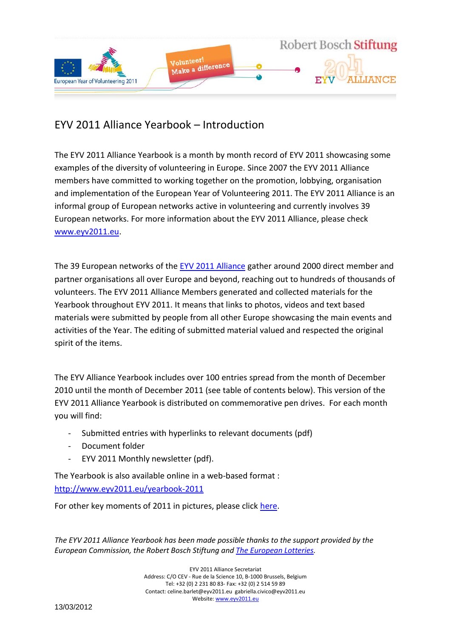

# EYV 2011 Alliance Yearbook – Introduction

The EYV 2011 Alliance Yearbook is a month by month record of EYV 2011 showcasing some examples of the diversity of volunteering in Europe. Since 2007 the EYV 2011 Alliance members have committed to working together on the promotion, lobbying, organisation and implementation of the European Year of Volunteering 2011. The EYV 2011 Alliance is an informal group of European networks active in volunteering and currently involves 39 European networks. For more information about the EYV 2011 Alliance, please check [www.eyv2011.eu.](http://www.eyv2011.eu/)

The 39 European networks of the [EYV 2011](http://www.eyv2011.eu/) Alliance gather around 2000 direct member and partner organisations all over Europe and beyond, reaching out to hundreds of thousands of volunteers. The EYV 2011 Alliance Members generated and collected materials for the Yearbook throughout EYV 2011. It means that links to photos, videos and text based materials were submitted by people from all other Europe showcasing the main events and activities of the Year. The editing of submitted material valued and respected the original spirit of the items.

The EYV Alliance Yearbook includes over 100 entries spread from the month of December 2010 until the month of December 2011 (see table of contents below). This version of the EYV 2011 Alliance Yearbook is distributed on commemorative pen drives. For each month you will find:

- Submitted entries with hyperlinks to relevant documents (pdf)
- Document folder
- EYV 2011 Monthly newsletter (pdf).

The Yearbook is also available online in a web-based format : <http://www.eyv2011.eu/yearbook-2011>

For other key moments of 2011 in pictures, please click [here.](http://www.facebook.com/pages/EYV-2011-Alliance/212863205392485?sk=photos)

*The EYV 2011 Alliance Yearbook has been made possible thanks to the support provided by the European Commission, the Robert Bosch Stiftung an[d The European Lotteries.](The%20European%20Lotteries%20and%20Volunteering.pdf)*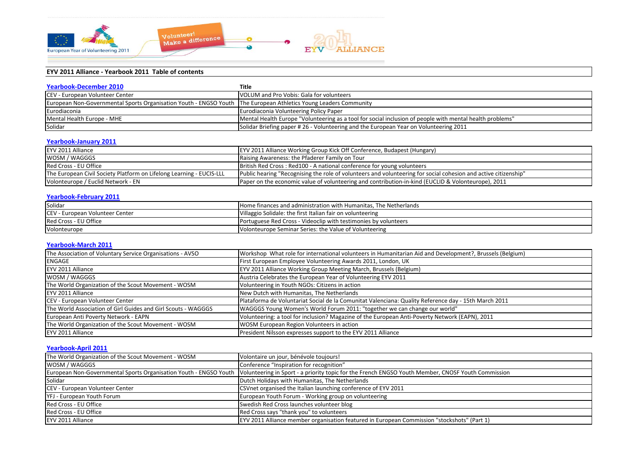

# **EYV 2011 Alliance - Yearbook 2011 Table of contents**

| <b>Yearbook-December 2010</b>                                                                                    | Title                                                                                                    |
|------------------------------------------------------------------------------------------------------------------|----------------------------------------------------------------------------------------------------------|
| <b>CEV - European Volunteer Center</b>                                                                           | VOLUM and Pro Vobis: Gala for volunteers                                                                 |
| European Non-Governmental Sports Organisation Youth - ENGSO Youth The European Athletics Young Leaders Community |                                                                                                          |
| Eurodiaconia                                                                                                     | Eurodiaconia Volunteering Policy Paper                                                                   |
| Mental Health Europe - MHE                                                                                       | Mental Health Europe "Volunteering as a tool for social inclusion of people with mental health problems" |
| Solidar                                                                                                          | Solidar Briefing paper # 26 - Volunteering and the European Year on Volunteering 2011                    |

## **[Yearbook-January 2011](EYV2011Alliance_YEARBOOK/EYV2011Alliance_Yearbook_01_2011/EYV2011Alliance_YEARBOOK_Jan2011.pdf)**

| EYV 2011 Alliance                                                    | [EYV 2011 Alliance Working Group Kick Off Conference, Budapest (Hungary)                                        |
|----------------------------------------------------------------------|-----------------------------------------------------------------------------------------------------------------|
| WOSM / WAGGGS                                                        | Raising Awareness: the Pfaderer Family on Tour                                                                  |
| Red Cross - EU Office                                                | British Red Cross: Red100 - A national conference for young volunteers                                          |
| The European Civil Society Platform on Lifelong Learning - EUCIS-LLL | Public hearing "Recognising the role of volunteers and volunteering for social cohesion and active citizenship" |
| Volonteurope / Euclid Network - EN                                   | Paper on the economic value of volunteering and contribution-in-kind (EUCLID & Volonteurope), 2011              |

## **[Yearbook-February 2011](EYV2011Alliance_YEARBOOK/EYV2011Alliance_Yearbook_02_2011/EYV2011Alliance_YEARBOOK_Feb2011.pdf)**

| Solidar                                | <b>Home finances and administration with Humanitas. The Netherlands</b> |
|----------------------------------------|-------------------------------------------------------------------------|
| <b>CEV - European Volunteer Center</b> | Villaggio Solidale: the first Italian fair on volunteering              |
| Red Cross - EU Office                  | Portuguese Red Cross - Videoclip with testimonies by volunteers         |
| Volonteurope                           | Volonteurope Seminar Series: the Value of Volunteering                  |

## **[Yearbook-March 2011](EYV2011Alliance_YEARBOOK/EYV2011Alliance_Yearbook_03_2011/EYV2011Alliance_YEARBOOK_March2011.pdf)**

| The Association of Voluntary Service Organisations - AVSO     | Workshop What role for international volunteers in Humanitarian Aid and Development?, Brussels (Belgium) |
|---------------------------------------------------------------|----------------------------------------------------------------------------------------------------------|
| ENGAGE                                                        | First European Employee Volunteering Awards 2011, London, UK                                             |
| EYV 2011 Alliance                                             | EYV 2011 Alliance Working Group Meeting March, Brussels (Belgium)                                        |
| WOSM / WAGGGS                                                 | Austria Celebrates the European Year of Volunteering EYV 2011                                            |
| The World Organization of the Scout Movement - WOSM           | Volunteering in Youth NGOs: Citizens in action                                                           |
| EYV 2011 Alliance                                             | New Dutch with Humanitas, The Netherlands                                                                |
| CEV - European Volunteer Center                               | Plataforma de Voluntariat Social de la Comunitat Valenciana: Quality Reference day - 15th March 2011     |
| The World Association of Girl Guides and Girl Scouts - WAGGGS | WAGGGS Young Women's World Forum 2011: "together we can change our world"                                |
| European Anti Poverty Network - EAPN                          | Volunteering: a tool for inclusion? Magazine of the European Anti-Poverty Network (EAPN), 2011           |
| The World Organization of the Scout Movement - WOSM           | <b>WOSM European Region Volunteers in action</b>                                                         |
| EYV 2011 Alliance                                             | President Nilsson expresses support to the EYV 2011 Alliance                                             |

#### **[Yearbook-April 2011](EYV2011Alliance_YEARBOOK/EYV2011Alliance_Yearbook_04_2011/EYV2011Alliance_YEARBOOK_April2011.pdf)**

| The World Organization of the Scout Movement - WOSM | Volontaire un jour, bénévole toujours!                                                                                                                                |
|-----------------------------------------------------|-----------------------------------------------------------------------------------------------------------------------------------------------------------------------|
| WOSM / WAGGGS                                       | Conference "Inspiration for recognition"                                                                                                                              |
|                                                     | European Non-Governmental Sports Organisation Youth - ENGSO Youth  Volunteering in Sport - a priority topic for the French ENGSO Youth Member, CNOSF Youth Commission |
| Solidar                                             | Dutch Holidays with Humanitas, The Netherlands                                                                                                                        |
| CEV - European Volunteer Center                     | CSVnet organised the Italian launching conference of EYV 2011                                                                                                         |
| YFJ - European Youth Forum                          | European Youth Forum - Working group on volunteering                                                                                                                  |
| Red Cross - EU Office                               | Swedish Red Cross launches volunteer blog                                                                                                                             |
| Red Cross - EU Office                               | Red Cross says "thank you" to volunteers                                                                                                                              |
| EYV 2011 Alliance                                   | EYV 2011 Alliance member organisation featured in European Commission "stockshots" (Part 1)                                                                           |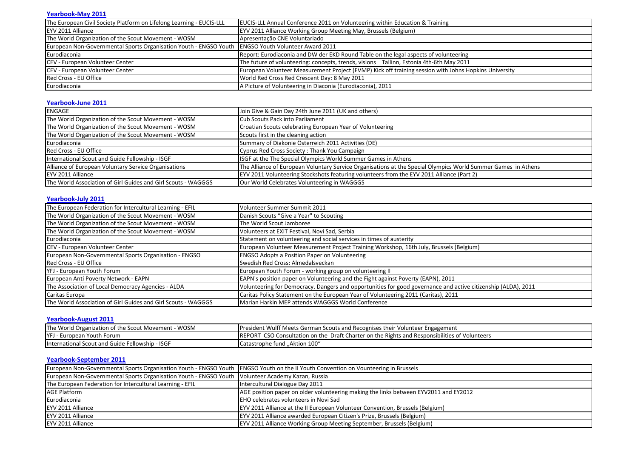#### **[Yearbook-May 2011](EYV2011Alliance_YEARBOOK/EYV2011Alliance_Yearbook_05_2011/EYV Flow Issue 9 May 2011.pdf)**

| The European Civil Society Platform on Lifelong Learning - EUCIS-LLL                                 | <b>EUCIS-LLL Annual Conference 2011 on Volunteering within Education &amp; Training</b>               |
|------------------------------------------------------------------------------------------------------|-------------------------------------------------------------------------------------------------------|
| EYV 2011 Alliance                                                                                    | EYV 2011 Alliance Working Group Meeting May, Brussels (Belgium)                                       |
| The World Organization of the Scout Movement - WOSM                                                  | Apresentação CNE Voluntariado                                                                         |
| European Non-Governmental Sports Organisation Youth - ENGSO Youth   ENGSO Youth Volunteer Award 2011 |                                                                                                       |
| Eurodiaconia                                                                                         | Report: Eurodiaconia and DW der EKD Round Table on the legal aspects of volunteering                  |
| CEV - European Volunteer Center                                                                      | The future of volunteering: concepts, trends, visions Tallinn, Estonia 4th-6th May 2011               |
| CEV - European Volunteer Center                                                                      | European Volunteer Measurement Project (EVMP) Kick off training session with Johns Hopkins University |
| Red Cross - EU Office                                                                                | World Red Cross Red Crescent Day: 8 May 2011                                                          |
| Eurodiaconia                                                                                         | A Picture of Volunteering in Diaconia (Eurodiaconia), 2011                                            |

#### **[Yearbook-June 2011](EYV2011Alliance_YEARBOOK/EYV2011Alliance_Yearbook_06_2011/EYV2011Alliance_YEARBOOK_June2011.pdf)**

| ENGAGE                                                        | Join Give & Gain Day 24th June 2011 (UK and others)                                                           |
|---------------------------------------------------------------|---------------------------------------------------------------------------------------------------------------|
| The World Organization of the Scout Movement - WOSM           | Cub Scouts Pack into Parliament                                                                               |
| The World Organization of the Scout Movement - WOSM           | Croatian Scouts celebrating European Year of Volunteering                                                     |
| The World Organization of the Scout Movement - WOSM           | Scouts first in the cleaning action                                                                           |
| Eurodiaconia                                                  | Summary of Diakonie Österreich 2011 Activities (DE)                                                           |
| Red Cross - EU Office                                         | Cyprus Red Cross Society: Thank You Campaign                                                                  |
| International Scout and Guide Fellowship - ISGF               | ISGF at the The Special Olympics World Summer Games in Athens                                                 |
| Alliance of European Voluntary Service Organisations          | The Alliance of European Voluntary Service Organisations at the Special Olympics World Summer Games in Athens |
| EYV 2011 Alliance                                             | [EYV 2011 Volunteering Stockshots featuring volunteers from the EYV 2011 Alliance (Part 2)                    |
| The World Association of Girl Guides and Girl Scouts - WAGGGS | Our World Celebrates Volunteering in WAGGGS                                                                   |

#### **[Yearbook-July 2011](EYV2011Alliance_YEARBOOK/EYV2011Alliance_Yearbook_07_2011/EYV2011Alliance_YEARBOOK_July2011.pdf)**

| The European Federation for Intercultural Learning - EFIL     | Volunteer Summer Summit 2011                                                                                  |
|---------------------------------------------------------------|---------------------------------------------------------------------------------------------------------------|
| The World Organization of the Scout Movement - WOSM           | Danish Scouts "Give a Year" to Scouting                                                                       |
| The World Organization of the Scout Movement - WOSM           | The World Scout Jamboree                                                                                      |
| The World Organization of the Scout Movement - WOSM           | Volunteers at EXIT Festival, Novi Sad, Serbia                                                                 |
| Eurodiaconia                                                  | Statement on volunteering and social services in times of austerity                                           |
| CEV - European Volunteer Center                               | European Volunteer Measurement Project Training Workshop, 16th July, Brussels (Belgium)                       |
| European Non-Governmental Sports Organisation - ENGSO         | <b>ENGSO Adopts a Position Paper on Volunteering</b>                                                          |
| Red Cross - EU Office                                         | Swedish Red Cross: Almedalsveckan                                                                             |
| YFJ - European Youth Forum                                    | European Youth Forum - working group on volunteering II                                                       |
| European Anti Poverty Network - EAPN                          | EAPN's position paper on Volunteering and the Fight against Poverty (EAPN), 2011                              |
| The Association of Local Democracy Agencies - ALDA            | Volunteering for Democracy. Dangers and opportunities for good governance and active citizenship (ALDA), 2011 |
| Caritas Europa                                                | Caritas Policy Statement on the European Year of Volunteering 2011 (Caritas), 2011                            |
| The World Association of Girl Guides and Girl Scouts - WAGGGS | Marian Harkin MEP attends WAGGGS World Conference                                                             |

## **[Yearbook-August 2011](EYV2011Alliance_YEARBOOK/EYV2011Alliance_Yearbook_08_2011/EYV2011Alliance_YEARBOOK_Aug2011.pdf)**

| The World Organization of the Scout Movement - WOSM            | <b>I</b> President Wulff Meets German Scouts and Recognises their Volunteer Engagement                                   |
|----------------------------------------------------------------|--------------------------------------------------------------------------------------------------------------------------|
| <b>YFJ</b> - European Youth Forum                              | $\mathsf{IREPOP}^{\mathsf{+}}$<br>CSO Consultation on the Draft Charter on the Rights and Responsibilities of Volunteers |
| <b>ISGF</b><br><b>International Scout and Guide Fellowship</b> | Catastrophe fund "Aktion 100"                                                                                            |

#### **[Yearbook-September 2011](EYV2011Alliance_YEARBOOK/EYV2011Alliance_Yearbook_09_2011/EYV2011Alliance_YEARBOOK_Sept2011.pdf)**

| European Non-Governmental Sports Organisation Youth - ENGSO Youth   ENGSO Youth on the II Youth Convention on Vounteering in Brussels |                                                                                      |
|---------------------------------------------------------------------------------------------------------------------------------------|--------------------------------------------------------------------------------------|
| European Non-Governmental Sports Organisation Youth - ENGSO Youth   Volunteer Academy Kazan, Russia                                   |                                                                                      |
| The European Federation for Intercultural Learning - EFIL                                                                             | Intercultural Dialogue Day 2011                                                      |
| <b>AGE Platform</b>                                                                                                                   | AGE position paper on older volunteering making the links between EYV2011 and EY2012 |
| Eurodiaconia                                                                                                                          | <b>EHO</b> celebrates volunteers in Novi Sad                                         |
| EYV 2011 Alliance                                                                                                                     | <b>EYV 2011 Alliance at the II European Volunteer Convention, Brussels (Belgium)</b> |
| EYV 2011 Alliance                                                                                                                     | EYV 2011 Alliance awarded European Citizen's Prize, Brussels (Belgium)               |
| EYV 2011 Alliance                                                                                                                     | <b>EYV 2011 Alliance Working Group Meeting September, Brussels (Belgium)</b>         |